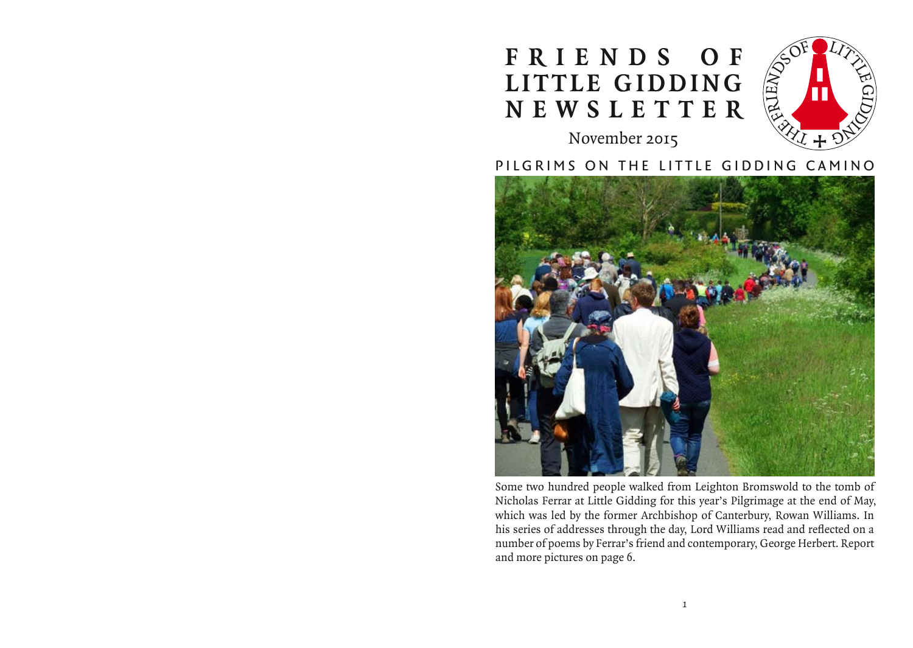# **F r i e n d s o f Little Gidding**  $N$  **E W S L E T T E R**



# PILGRIMS ON THE LITTLE GIDDING CAMINO



Some two hundred people walked from Leighton Bromswold to the tomb of Nicholas Ferrar at Little Gidding for this year's Pilgrimage at the end of May, which was led by the former Archbishop of Canterbury, Rowan Williams. In his series of addresses through the day, Lord Williams read and reflected on a number of poems by Ferrar's friend and contemporary, George Herbert. Report and more pictures on page 6.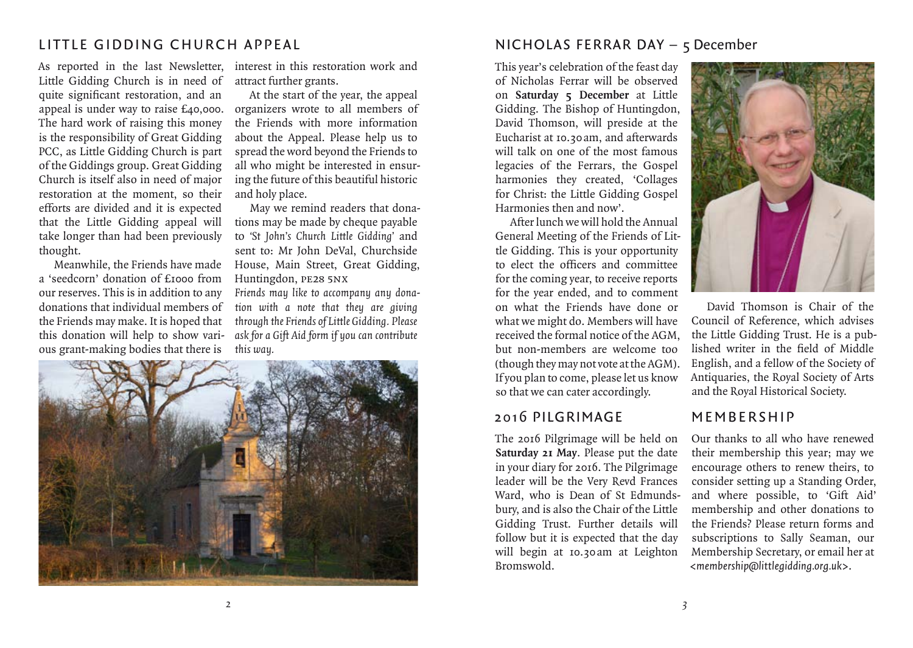## L ittle Gidding Church Appeal

Little Gidding Church is in need of quite significant restoration, and an appeal is under way to raise £40,000. The hard work of raising this money is the responsibility of Great Gidding PCC, as Little Gidding Church is part of the Giddings group. Great Gidding Church is itself also in need of major restoration at the moment, so their efforts are divided and it is expected that the Little Gidding appeal will take longer than had been previously thought.

a 'seedcorn' donation of £1000 from our reserves. This is in addition to any donations that individual members of the Friends may make. It is hoped that this donation will help to show various grant-making bodies that there is

As reported in the last Newsletter, interest in this restoration work and attract further grants.

At the start of the year, the appeal organizers wrote to all members of the Friends with more information about the Appeal. Please help us to spread the word beyond the Friends to all who might be interested in ensuring the future of this beautiful historic and holy place.

Meanwhile, the Friends have made House, Main Street, Great Gidding, May we remind readers that donations may be made by cheque payable to *'St John's Church Little Gidding'* and sent to: Mr John DeVal, Churchside Huntingdon, pe28 5nx

> *Friends may like to accompany any donation with a note that they are giving through the Friends of Little Gidding. Please ask for a Gift Aid form if you can contribute this way.*



## NICHOLAS FERRAR DAY – 5 December

This year's celebration of the feast day of Nicholas Ferrar will be observed on **Saturday 5 December** at Little Gidding. The Bishop of Huntingdon, David Thomson, will preside at the Eucharist at 10.30am, and afterwards will talk on one of the most famous legacies of the Ferrars, the Gospel harmonies they created, 'Collages for Christ: the Little Gidding Gospel Harmonies then and now'.

After lunch we will hold the Annual General Meeting of the Friends of Little Gidding. This is your opportunity to elect the officers and committee for the coming year, to receive reports for the year ended, and to comment on what the Friends have done or what we might do. Members will have received the formal notice of the AGM, but non-members are welcome too (though they may not vote at the AGM). If you plan to come, please let us know so that we can cater accordingly.

# 2016 Pilgrimage

The 2016 Pilgrimage will be held on **Saturday 21 May**. Please put the date in your diary for 2016. The Pilgrimage leader will be the Very Revd Frances Ward, who is Dean of St Edmundsbury, and is also the Chair of the Little Gidding Trust. Further details will follow but it is expected that the day will begin at 10.30 am at Leighton Bromswold.



David Thomson is Chair of the Council of Reference, which advises the Little Gidding Trust. He is a published writer in the field of Middle English, and a fellow of the Society of Antiquaries, the Royal Society of Arts and the Royal Historical Society.

## **MEMBERSHIP**

Our thanks to all who have renewed their membership this year; may we encourage others to renew theirs, to consider setting up a Standing Order, and where possible, to 'Gift Aid' membership and other donations to the Friends? Please return forms and subscriptions to Sally Seaman, our Membership Secretary, or email her at *<membership@littlegidding.org.uk>*.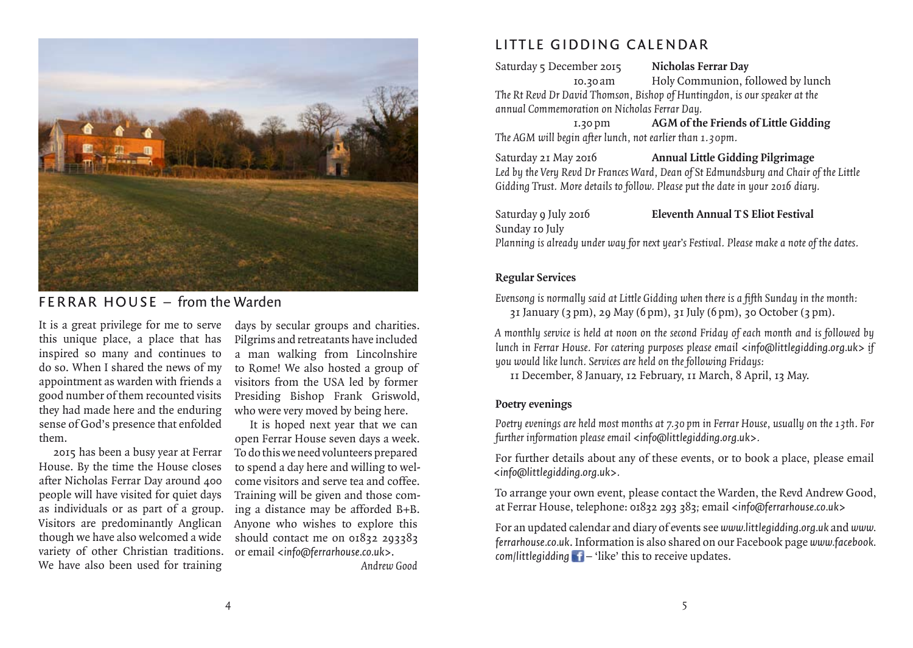

# $FFRRAR HOLS<sub>F</sub> - from the Warden$

It is a great privilege for me to serve this unique place, a place that has inspired so many and continues to do so. When I shared the news of my appointment as warden with friends a good number of them recounted visits they had made here and the enduring sense of God's presence that enfolded them.

2015 has been a busy year at Ferrar House. By the time the House closes after Nicholas Ferrar Day around 400 people will have visited for quiet days as individuals or as part of a group. Visitors are predominantly Anglican though we have also welcomed a wide variety of other Christian traditions. We have also been used for training

days by secular groups and charities. Pilgrims and retreatants have included a man walking from Lincolnshire to Rome! We also hosted a group of visitors from the USA led by former Presiding Bishop Frank Griswold, who were very moved by being here.

It is hoped next year that we can open Ferrar House seven days a week. To do this we need volunteers prepared to spend a day here and willing to welcome visitors and serve tea and coffee. Training will be given and those coming a distance may be afforded B+B. Anyone who wishes to explore this should contact me on 01832 203383 or email *<info@ferrarhouse.co.uk>*.

*Andrew Good*

# L ittle Gidding Calendar

Saturday 5 December 2015 **Nicholas Ferrar Day** 10.30 am Holy Communion, followed by lunch *The Rt Revd Dr David Thomson, Bishop of Huntingdon, is our speaker at the annual Commemoration on Nicholas Ferrar Day.*

 1.30pm **AGM of the Friends of Little Gidding** *The AGM will begin after lunch, not earlier than 1.30pm.*

Saturday 21 May 2016 **Annual Little Gidding Pilgrimage** *Led by the Very Revd Dr Frances Ward, Dean of St Edmundsbury and Chair of the Little Gidding Trust. More details to follow. Please put the date in your 2016 diary.*

Sunday 10 July

#### Saturday 9 July 2016 **Eleventh Annual T S Eliot Festival**

*Planning is already under way for next year's Festival. Please make a note of the dates.*

#### **Regular Services**

*Evensong is normally said at Little Gidding when there is a fifth Sunday in the month:* 31 January (3pm), 29 May (6pm), 31 July (6pm), 30 October (3pm).

*A monthly service is held at noon on the second Friday of each month and is followed by lunch in Ferrar House. For catering purposes please email <info@littlegidding.org.uk> if you would like lunch. Services are held on the following Fridays:*

11 December, 8 January, 12 February, 11 March, 8 April, 13 May.

#### **Poetry evenings**

*Poetry evenings are held most months at 7.30pm in Ferrar House, usually on the 13th. For further information please email <info@littlegidding.org.uk>.*

For further details about any of these events, or to book a place, please email *<info@littlegidding.org.uk>.* 

To arrange your own event, please contact the Warden, the Revd Andrew Good, at Ferrar House, telephone: 01832 293 383*;* email *[<info@ferrarhouse.co.uk>](mailto:info@ferrarhouse.co.uk)*

For an updated calendar and diary of events see *www.littlegidding.org.uk* and *www. ferrarhouse.co.uk*. Information is also shared on our Facebook page *[www.facebook.](www.facebook.com/littlegidding) com*/littlegidding  $\bf{f}$  [– 'like' this to receive updates.](www.facebook.com/littlegidding)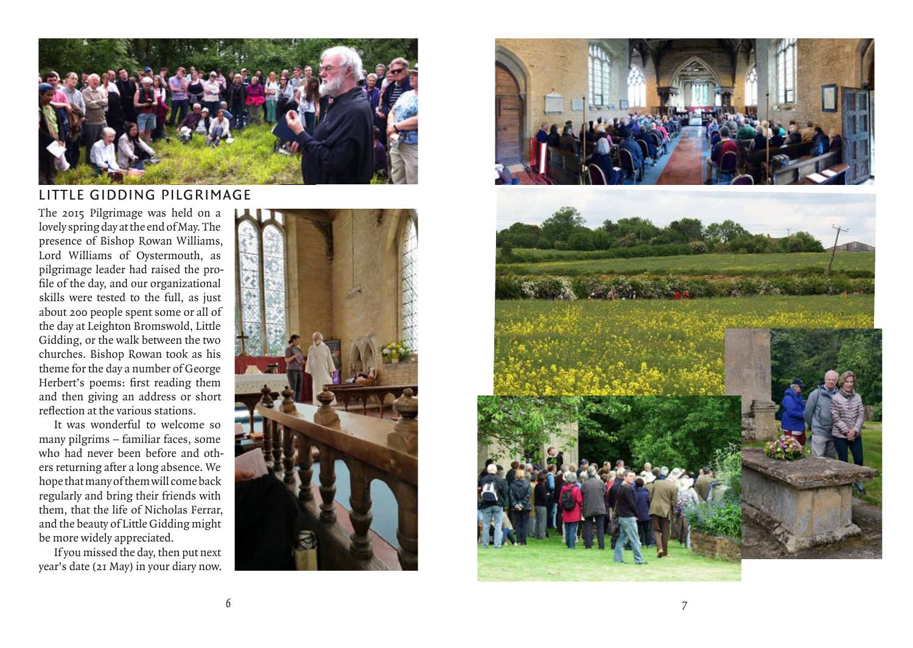

## Little Gidding [Pilgrimage](www.facebook.com/littlegidding)

[The 2015 Pilgrimage was held on a](www.facebook.com/littlegidding) [lovely spring day at the end of May. The](www.facebook.com/littlegidding)  [presence of Bishop Rowan Williams,](www.facebook.com/littlegidding) [Lord Williams of Oystermouth, as](www.facebook.com/littlegidding) [pilgrimage leader had raised the pro](www.facebook.com/littlegidding) [file of the day, and our organizational](www.facebook.com/littlegidding) [skills were tested to the full, as just](www.facebook.com/littlegidding) [about 200 people spent some or all of](www.facebook.com/littlegidding) [the day at Leighton Bromswold, Little](www.facebook.com/littlegidding)  [Gidding, or the walk between the two](www.facebook.com/littlegidding)  [churches. Bishop Rowan took as his](www.facebook.com/littlegidding)  [theme for the day a number of George](www.facebook.com/littlegidding)  [Herbert's poems: first reading them](www.facebook.com/littlegidding) [and then giving an address or short](www.facebook.com/littlegidding) [reflection at the various stations.](www.facebook.com/littlegidding) 

[It was wonderful to welcome so](www.facebook.com/littlegidding)  [many pilgrims – familiar faces, some](www.facebook.com/littlegidding)  [who had never been before and oth](www.facebook.com/littlegidding) [ers returning after a long absence. We](www.facebook.com/littlegidding)  [hope that many of them will come back](www.facebook.com/littlegidding) [regularly and bring their friends with](www.facebook.com/littlegidding) [them, that the life of Nicholas Ferrar,](www.facebook.com/littlegidding) [and the beauty of Little Gidding might](www.facebook.com/littlegidding) [be more widely appreciated.](www.facebook.com/littlegidding)

[If you missed the day, then put next](www.facebook.com/littlegidding) [year's date \(21 May\) in your diary now.](www.facebook.com/littlegidding)



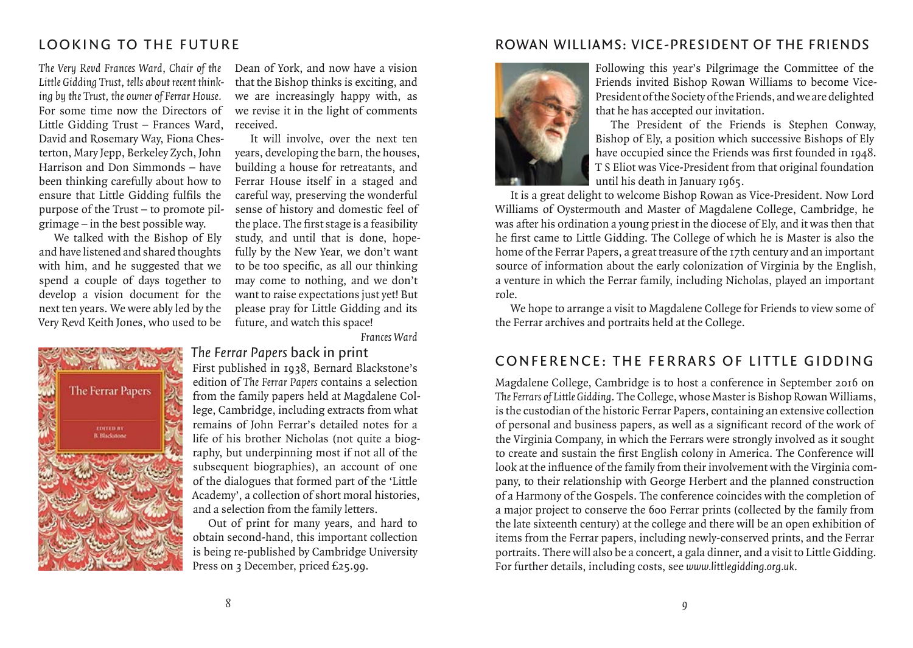# [Looking to the Future](www.facebook.com/littlegidding)

*[The Very Revd Frances Ward, Chair of the](www.facebook.com/littlegidding)  [Little Gidding Trust, tells about recent think](www.facebook.com/littlegidding)[ing by the Trust, the owner of Ferrar House.](www.facebook.com/littlegidding)* [For some time now the Directors of](www.facebook.com/littlegidding)  [Little Gidding Trust – Frances Ward,](www.facebook.com/littlegidding)  [David and Rosemary Way, Fiona Ches](www.facebook.com/littlegidding)[terton, Mary Jepp, Berkeley Zych, John](www.facebook.com/littlegidding)  [Harrison and Don Simmonds – have](www.facebook.com/littlegidding)  [been thinking carefully about how to](www.facebook.com/littlegidding)  [ensure that Little Gidding fulfils the](www.facebook.com/littlegidding)  [purpose of the Trust – to promote pil](www.facebook.com/littlegidding)[grimage – in the best possible way.](www.facebook.com/littlegidding) 

We talked with the Bishop of Ely [and have listened and shared thoughts](www.facebook.com/littlegidding)  [with him, and he suggested that we](www.facebook.com/littlegidding)  [spend a couple of days together to](www.facebook.com/littlegidding)  [develop a vision document for the](www.facebook.com/littlegidding)  [next ten years. We were ably led by the](www.facebook.com/littlegidding)  [Very Revd Keith Jones, who used to be](www.facebook.com/littlegidding) 

[Dean of York, and now have a vision](www.facebook.com/littlegidding)  [that the Bishop thinks is exciting, and](www.facebook.com/littlegidding)  [we are increasingly happy with, as](www.facebook.com/littlegidding)  [we revise it in the light of comments](www.facebook.com/littlegidding)  [received.](www.facebook.com/littlegidding)

[It will involve, over the next ten](www.facebook.com/littlegidding)  [years, developing the barn, the houses,](www.facebook.com/littlegidding) [building a house for retreatants, and](www.facebook.com/littlegidding)  [Ferrar House itself in a staged and](www.facebook.com/littlegidding)  [careful way, preserving the wonderful](www.facebook.com/littlegidding)  [sense of history and domestic feel of](www.facebook.com/littlegidding)  [the place. The first stage is a feasibility](www.facebook.com/littlegidding)  [study, and until that is done, hope](www.facebook.com/littlegidding)[fully by the New Year, we don't want](www.facebook.com/littlegidding)  [to be too specific, as all our thinking](www.facebook.com/littlegidding)  [may come to nothing, and we don't](www.facebook.com/littlegidding)  [want to raise expectations just yet! But](www.facebook.com/littlegidding)  [please pray for Little Gidding and its](www.facebook.com/littlegidding)  [future, and watch this space!](www.facebook.com/littlegidding)

*[Frances Ward](www.facebook.com/littlegidding)*



*[The Ferrar Papers](www.facebook.com/littlegidding)* back in print [First published in 1938, Bernard Blackstone's](www.facebook.com/littlegidding)  edition of *The Ferrar Papers* [contains a selection](www.facebook.com/littlegidding)  [from the family papers held at Magdalene Col](www.facebook.com/littlegidding)[lege, Cambridge, including extracts from what](www.facebook.com/littlegidding)  [remains of John Ferrar's detailed notes for a](www.facebook.com/littlegidding)  [life of his brother Nicholas \(not quite a biog](www.facebook.com/littlegidding)[raphy, but underpinning most if not all of the](www.facebook.com/littlegidding)  [subsequent biographies\), an account of one](www.facebook.com/littlegidding)  [of the dialogues that formed part of the 'Little](www.facebook.com/littlegidding)  [Academy', a collection of short moral histories,](www.facebook.com/littlegidding) [and a selection from the family letters.](www.facebook.com/littlegidding)

[Out of print for many years, and hard to](www.facebook.com/littlegidding)  [obtain second-hand, this important collection](www.facebook.com/littlegidding)  [is being re-published by Cambridge University](www.facebook.com/littlegidding)  [Press on 3 December, priced £25.99.](www.facebook.com/littlegidding)

### [Rowan Williams: Vice-President of the friends](www.facebook.com/littlegidding)



[Following this year's Pilgrimage the Committee of the](www.facebook.com/littlegidding)  [Friends invited Bishop Rowan Williams to become Vice-](www.facebook.com/littlegidding)[President of the Society of the Friends, and we are delighted](www.facebook.com/littlegidding)  [that he has accepted our invitation.](www.facebook.com/littlegidding) 

[The President of the Friends is Stephen Conway,](www.facebook.com/littlegidding)  [Bishop of Ely, a position which successive Bishops of Ely](www.facebook.com/littlegidding)  have occupied since the Friends was first founded in 1948. T [S Eliot was Vice-President from that original foundation](www.facebook.com/littlegidding)  [until his death in January 1965.](www.facebook.com/littlegidding)

[It is a great delight to welcome Bishop Rowan as Vice-President. Now Lord](www.facebook.com/littlegidding)  [Williams of Oystermouth and Master of Magdalene College, Cambridge, he](www.facebook.com/littlegidding)  [was after his ordination a young priest in the diocese of Ely, and it was then that](www.facebook.com/littlegidding)  [he first came to Little Gidding. The College of which he is Master is also the](www.facebook.com/littlegidding)  [home of the Ferrar Papers, a great treasure of the 17th century and an important](www.facebook.com/littlegidding)  [source of information about the early colonization of Virginia by the English,](www.facebook.com/littlegidding)  [a venture in which the Ferrar family, including Nicholas, played an important](www.facebook.com/littlegidding)  [role.](www.facebook.com/littlegidding)

[We hope to arrange a visit to Magdalene College for Friends to view some of](www.facebook.com/littlegidding)  [the Ferrar archives and portraits held at the College.](www.facebook.com/littlegidding)

## CONFERENCE: THE FERRARS OF LITTLE GIDDING

[Magdalene College, Cambridge is to host a conference in September 2016 on](www.facebook.com/littlegidding)  *The Ferrars of Little Gidding*[. The College, whose Master is Bishop Rowan Williams,](www.facebook.com/littlegidding)  [is the custodian of the historic Ferrar Papers, containing an extensive collection](www.facebook.com/littlegidding)  [of personal and business papers, as well as a significant record of the work of](www.facebook.com/littlegidding)  [the Virginia Company, in which the Ferrars were strongly involved as it sought](www.facebook.com/littlegidding)  [to create and sustain the first English colony in America. The Conference will](www.facebook.com/littlegidding)  [look at the influence of the family from their involvement with the Virginia com](www.facebook.com/littlegidding)[pany, to their relationship with George Herbert and the planned construction](www.facebook.com/littlegidding)  [of a Harmony of the Gospels. The conference coincides with the completion of](www.facebook.com/littlegidding)  [a major project to conserve the 600 Ferrar prints \(collected by the family from](www.facebook.com/littlegidding)  [the late sixteenth century\) at the college and there will be an open exhibition of](www.facebook.com/littlegidding)  [items from the Ferrar papers, including newly-conserved prints, and the Ferrar](www.facebook.com/littlegidding)  [portraits. There will also be a concert, a gala dinner, and a visit to Little Gidding.](www.facebook.com/littlegidding)  [For further details, including costs, see](www.facebook.com/littlegidding) *www.littlegidding.org.uk*.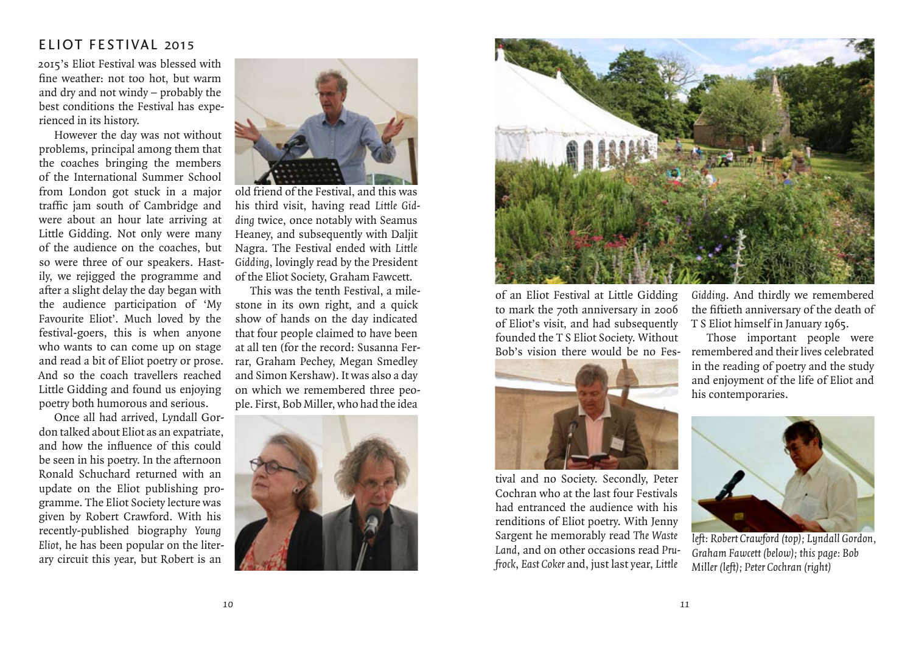# FIIOT FESTIVAL 2015

[2015's Eliot Festival was blessed with](www.facebook.com/littlegidding)  [fine weather: not too hot, but warm](www.facebook.com/littlegidding)  [and dry and not windy – probably the](www.facebook.com/littlegidding)  [best conditions the Festival has expe](www.facebook.com/littlegidding)[rienced in its history.](www.facebook.com/littlegidding)

[However the day was not without](www.facebook.com/littlegidding)  [problems, principal among them that](www.facebook.com/littlegidding)  [the coaches bringing the members](www.facebook.com/littlegidding)  [of the International Summer School](www.facebook.com/littlegidding)  [from London got stuck in a major](www.facebook.com/littlegidding)  [traffic jam south of Cambridge and](www.facebook.com/littlegidding)  [were about an hour late arriving at](www.facebook.com/littlegidding)  [Little Gidding. Not only were many](www.facebook.com/littlegidding)  [of the audience on the coaches, but](www.facebook.com/littlegidding)  [so were three of our speakers. Hast](www.facebook.com/littlegidding)[ily, we rejigged the programme and](www.facebook.com/littlegidding)  [after a slight delay the day began with](www.facebook.com/littlegidding)  [the audience participation of 'My](www.facebook.com/littlegidding)  [Favourite Eliot'. Much loved by the](www.facebook.com/littlegidding)  [festival-goers, this is when anyone](www.facebook.com/littlegidding)  [who wants to can come up on stage](www.facebook.com/littlegidding)  [and read a bit of Eliot poetry or prose.](www.facebook.com/littlegidding)  [And so the coach travellers reached](www.facebook.com/littlegidding)  [Little Gidding and found us enjoying](www.facebook.com/littlegidding)  [poetry both humorous and serious.](www.facebook.com/littlegidding)

[Once all had arrived, Lyndall Gor](www.facebook.com/littlegidding)[don talked about Eliot as an expatriate,](www.facebook.com/littlegidding)  [and how the influence of this could](www.facebook.com/littlegidding)  [be seen in his poetry. In the afternoon](www.facebook.com/littlegidding)  [Ronald Schuchard returned with an](www.facebook.com/littlegidding)  [update on the Eliot publishing pro](www.facebook.com/littlegidding)[gramme. The Eliot Society lecture was](www.facebook.com/littlegidding)  [given by Robert Crawford. With his](www.facebook.com/littlegidding)  [recently-published biography](www.facebook.com/littlegidding) *Young Eliot*[, he has been popular on the liter](www.facebook.com/littlegidding)[ary circuit this year, but Robert is an](www.facebook.com/littlegidding) 



[old friend of the Festival, and this was](www.facebook.com/littlegidding)  [his third visit, having read](www.facebook.com/littlegidding) *Little Gidding* [twice, once notably with Seamus](www.facebook.com/littlegidding)  [Heaney, and subsequently with Daljit](www.facebook.com/littlegidding)  [Nagra. The Festival ended with](www.facebook.com/littlegidding) *Little Gidding*[, lovingly read by the President](www.facebook.com/littlegidding)  [of the Eliot Society, Graham Fawcett.](www.facebook.com/littlegidding)

[This was the tenth Festival, a mile](www.facebook.com/littlegidding)[stone in its own right, and a quick](www.facebook.com/littlegidding) [show of hands on the day indicated](www.facebook.com/littlegidding)  [that four people claimed to have been](www.facebook.com/littlegidding)  [at all ten \(for the record: Susanna Fer](www.facebook.com/littlegidding)[rar, Graham Pechey, Megan Smedley](www.facebook.com/littlegidding)  [and Simon Kershaw\). It was also a day](www.facebook.com/littlegidding)  [on which we remembered three peo](www.facebook.com/littlegidding)[ple. First, Bob Miller, who had the idea](www.facebook.com/littlegidding) 





[of an Eliot Festival at Little Gidding](www.facebook.com/littlegidding)  [to mark the 70th anniversary in 2006](www.facebook.com/littlegidding) [of Eliot's visit, and had subsequently](www.facebook.com/littlegidding) [founded the T S Eliot Society. Without](www.facebook.com/littlegidding)  [Bob's vision there would be no Fes-](www.facebook.com/littlegidding)



[tival and no Society. Secondly, Peter](www.facebook.com/littlegidding) [Cochran who at the last four Festivals](www.facebook.com/littlegidding)  [had entranced the audience with his](www.facebook.com/littlegidding)  [renditions of Eliot poetry. With Jenny](www.facebook.com/littlegidding) [Sargent he memorably read](www.facebook.com/littlegidding) *The Waste Land*[, and on other occasions read](www.facebook.com/littlegidding) *Prufrock*, *East Coker* [and, just last year,](www.facebook.com/littlegidding) *Little* 

*Gidding*[. And thirdly we remembered](www.facebook.com/littlegidding)  [the fiftieth anniversary of the death of](www.facebook.com/littlegidding)  [T S Eliot himself in January 1965.](www.facebook.com/littlegidding)

[Those important people were](www.facebook.com/littlegidding)  [remembered and their lives celebrated](www.facebook.com/littlegidding)  [in the reading of poetry and the study](www.facebook.com/littlegidding)  [and enjoyment of the life of Eliot and](www.facebook.com/littlegidding)  [his contemporaries.](www.facebook.com/littlegidding)



*[left: Robert Crawford \(top\); Lyndall Gordon,](www.facebook.com/littlegidding) [Graham Fawcett \(below\); this page: Bob](www.facebook.com/littlegidding)  [Miller \(left\); Peter Cochran \(right\)](www.facebook.com/littlegidding)*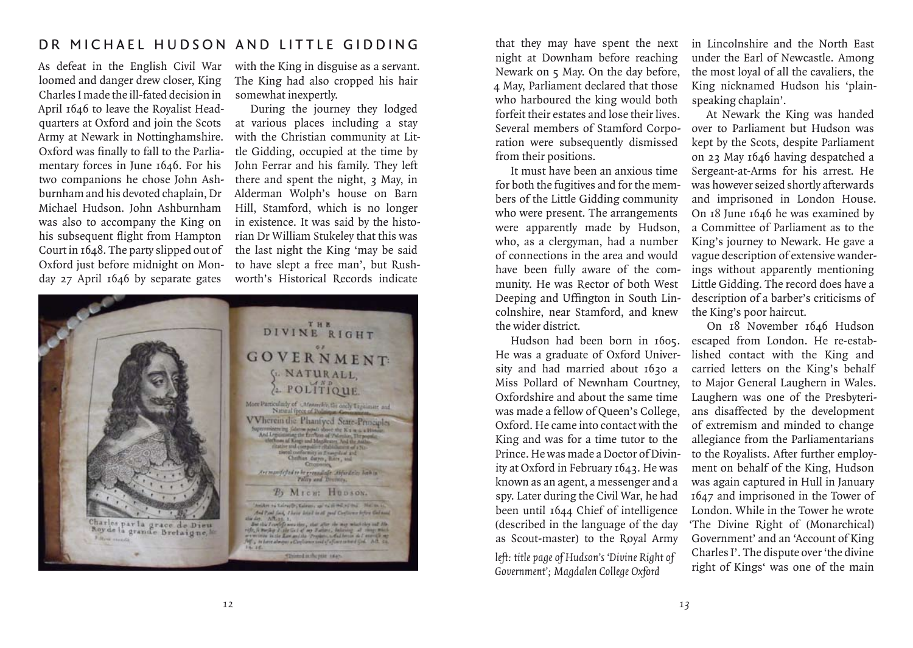## DR MICHAFI HUDSON AND LITTLE GIDDING

[As defeat in the English Civil War](www.facebook.com/littlegidding)  [loomed and danger drew closer, King](www.facebook.com/littlegidding)  [Charles I made the ill-fated decision in](www.facebook.com/littlegidding)  [April 1646 to leave the Royalist Head](www.facebook.com/littlegidding)[quarters at Oxford and join the Scots](www.facebook.com/littlegidding)  [Army at Newark in Nottinghamshire.](www.facebook.com/littlegidding)  [Oxford was finally to fall to the Parlia](www.facebook.com/littlegidding)[mentary forces in June 1646. For his](www.facebook.com/littlegidding)  [two companions he chose John Ash](www.facebook.com/littlegidding)[burnham and his devoted chaplain, Dr](www.facebook.com/littlegidding)  [Michael Hudson. John Ashburnham](www.facebook.com/littlegidding)  [was also to accompany the King on](www.facebook.com/littlegidding)  [his subsequent flight from Hampton](www.facebook.com/littlegidding)  [Court in 1648. The party slipped out of](www.facebook.com/littlegidding)  [Oxford just before midnight on Mon](www.facebook.com/littlegidding)[day 27 April 1646 by separate gates](www.facebook.com/littlegidding) 

[with the King in disguise as a servant.](www.facebook.com/littlegidding) [The King had also cropped his hair](www.facebook.com/littlegidding)  [somewhat inexpertly.](www.facebook.com/littlegidding)

[During the journey they lodged](www.facebook.com/littlegidding)  [at various places including a stay](www.facebook.com/littlegidding)  [with the Christian community at Lit](www.facebook.com/littlegidding)[tle Gidding, occupied at the time by](www.facebook.com/littlegidding)  [John Ferrar and his family. They left](www.facebook.com/littlegidding)  there and spent the night, 3 May, in [Alderman Wolph's house on Barn](www.facebook.com/littlegidding)  [Hill, Stamford, which is no longer](www.facebook.com/littlegidding)  [in existence. It was said by the histo](www.facebook.com/littlegidding)[rian Dr William Stukeley that this was](www.facebook.com/littlegidding)  [the last night the King 'may be said](www.facebook.com/littlegidding)  [to have slept a free man', but Rush](www.facebook.com/littlegidding)[worth's Historical Records indicate](www.facebook.com/littlegidding) 



[that they may have spent the next](www.facebook.com/littlegidding) [night at Downham before reaching](www.facebook.com/littlegidding)  Newark on 5 May. On the day before. [4 May, Parliament declared that those](www.facebook.com/littlegidding)  [who harboured the king would both](www.facebook.com/littlegidding)  [forfeit their estates and lose their lives.](www.facebook.com/littlegidding) [Several members of Stamford Corpo](www.facebook.com/littlegidding)[ration were subsequently dismissed](www.facebook.com/littlegidding)  [from their positions.](www.facebook.com/littlegidding) 

[It must have been an anxious time](www.facebook.com/littlegidding)  [for both the fugitives and for the mem](www.facebook.com/littlegidding)[bers of the Little Gidding community](www.facebook.com/littlegidding) [who were present. The arrangements](www.facebook.com/littlegidding)  [were apparently made by Hudson,](www.facebook.com/littlegidding) [who, as a clergyman, had a number](www.facebook.com/littlegidding) [of connections in the area and would](www.facebook.com/littlegidding)  [have been fully aware of the com](www.facebook.com/littlegidding)[munity. He was Rector of both West](www.facebook.com/littlegidding) [Deeping and Uffington in South Lin](www.facebook.com/littlegidding)[colnshire, near Stamford, and knew](www.facebook.com/littlegidding) [the wider district.](www.facebook.com/littlegidding) 

[Hudson had been born in 1605.](www.facebook.com/littlegidding) [He was a graduate of Oxford Univer](www.facebook.com/littlegidding)sity and had married about 1630 a [Miss Pollard of Newnham Courtney,](www.facebook.com/littlegidding) [Oxfordshire and about the same time](www.facebook.com/littlegidding)  [was made a fellow of Queen's College,](www.facebook.com/littlegidding) [Oxford. He came into contact with the](www.facebook.com/littlegidding)  [King and was for a time tutor to the](www.facebook.com/littlegidding)  [Prince. He was made a Doctor of Divin](www.facebook.com/littlegidding)[ity at Oxford in February 1643. He was](www.facebook.com/littlegidding)  [known as an agent, a messenger and a](www.facebook.com/littlegidding)  [spy. Later during the Civil War, he had](www.facebook.com/littlegidding)  [been until 1644 Chief of intelligence](www.facebook.com/littlegidding)  [\(described in the language of the day](www.facebook.com/littlegidding) [as Scout-master\) to the Royal Army](www.facebook.com/littlegidding)

*[Government'; Magdalen College Oxford](www.facebook.com/littlegidding)*

[in Lincolnshire and the North East](www.facebook.com/littlegidding)  [under the Earl of Newcastle. Among](www.facebook.com/littlegidding)  [the most loyal of all the cavaliers, the](www.facebook.com/littlegidding)  [King nicknamed Hudson his 'plain](www.facebook.com/littlegidding)[speaking chaplain'.](www.facebook.com/littlegidding) 

[At Newark the King was handed](www.facebook.com/littlegidding)  [over to Parliament but Hudson was](www.facebook.com/littlegidding)  [kept by the Scots, despite Parliament](www.facebook.com/littlegidding)  [on 23 May 1646 having despatched a](www.facebook.com/littlegidding)  [Sergeant-at-Arms for his arrest. He](www.facebook.com/littlegidding)  [was however seized shortly afterwards](www.facebook.com/littlegidding)  [and imprisoned in London House.](www.facebook.com/littlegidding)  [On 18 June 1646 he was examined by](www.facebook.com/littlegidding)  [a Committee of Parliament as to the](www.facebook.com/littlegidding)  [King's journey to Newark. He gave a](www.facebook.com/littlegidding)  [vague description of extensive wander](www.facebook.com/littlegidding)[ings without apparently mentioning](www.facebook.com/littlegidding)  [Little Gidding. The record does have a](www.facebook.com/littlegidding)  [description of a barber's criticisms of](www.facebook.com/littlegidding)  [the King's poor haircut.](www.facebook.com/littlegidding) 

[On 18 November 1646 Hudson](www.facebook.com/littlegidding)  [escaped from London. He re-estab](www.facebook.com/littlegidding)[lished contact with the King and](www.facebook.com/littlegidding)  [carried letters on the King's behalf](www.facebook.com/littlegidding)  [to Major General Laughern in Wales.](www.facebook.com/littlegidding)  [Laughern was one of the Presbyteri](www.facebook.com/littlegidding)[ans disaffected by the development](www.facebook.com/littlegidding)  [of extremism and minded to change](www.facebook.com/littlegidding)  [allegiance from the Parliamentarians](www.facebook.com/littlegidding)  [to the Royalists. After further employ](www.facebook.com/littlegidding)[ment on behalf of the King, Hudson](www.facebook.com/littlegidding)  [was again captured in Hull in January](www.facebook.com/littlegidding)  [1647 and imprisoned in the Tower of](www.facebook.com/littlegidding)  [London. While in the Tower he wrote](www.facebook.com/littlegidding)  ['The Divine Right of \(Monarchical\)](www.facebook.com/littlegidding)  [Government' and an 'Account of King](www.facebook.com/littlegidding)  [Charles I'. The dispute over 'the divine](www.facebook.com/littlegidding)  [left: title page of Hudson's 'Divine Right of](www.facebook.com/littlegidding) Charles I'. The dispute over 'the divine<br>*Courright of Kings'* was one of the main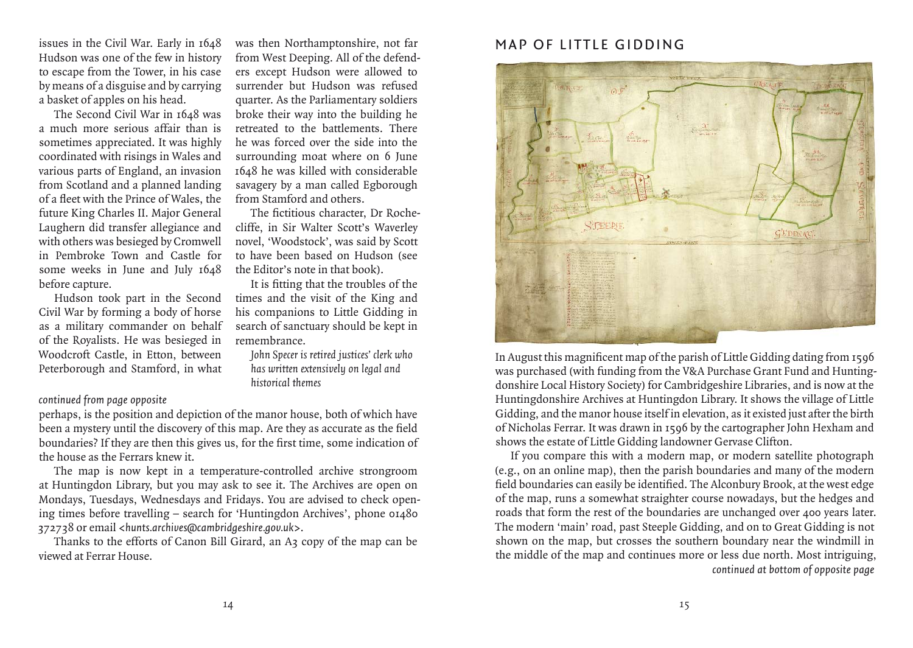[issues in the Civil War. Early in 1648](www.facebook.com/littlegidding)  [Hudson was one of the few in history](www.facebook.com/littlegidding)  [to escape from the Tower, in his case](www.facebook.com/littlegidding)  [by means of a disguise and by carrying](www.facebook.com/littlegidding)  [a basket of apples on his head.](www.facebook.com/littlegidding)

The Second Civil War in 1648 was [a much more serious affair than is](www.facebook.com/littlegidding)  [sometimes appreciated. It was highly](www.facebook.com/littlegidding)  [coordinated with risings in Wales and](www.facebook.com/littlegidding)  [various parts of England, an invasion](www.facebook.com/littlegidding)  [from Scotland and a planned landing](www.facebook.com/littlegidding)  [of a fleet with the Prince of Wales, the](www.facebook.com/littlegidding)  [future King Charles II. Major General](www.facebook.com/littlegidding)  [Laughern did transfer allegiance and](www.facebook.com/littlegidding)  [with others was besieged by Cromwell](www.facebook.com/littlegidding)  [in Pembroke Town and Castle for](www.facebook.com/littlegidding)  [some weeks in June and July 1648](www.facebook.com/littlegidding)  [before capture.](www.facebook.com/littlegidding)

[Hudson took part in the Second](www.facebook.com/littlegidding)  [Civil War by forming a body of horse](www.facebook.com/littlegidding)  [as a military commander on behalf](www.facebook.com/littlegidding)  [of the Royalists. He was besieged in](www.facebook.com/littlegidding)  [Woodcroft Castle, in Etton, between](www.facebook.com/littlegidding)  [Peterborough and Stamford, in what](www.facebook.com/littlegidding) 

[was then Northamptonshire, not far](www.facebook.com/littlegidding)  [from West Deeping. All of the defend](www.facebook.com/littlegidding)[ers except Hudson were allowed to](www.facebook.com/littlegidding)  [surrender but Hudson was refused](www.facebook.com/littlegidding)  [quarter. As the Parliamentary soldiers](www.facebook.com/littlegidding)  [broke their way into the building he](www.facebook.com/littlegidding)  [retreated to the battlements. There](www.facebook.com/littlegidding)  [he was forced over the side into the](www.facebook.com/littlegidding)  [surrounding moat where on 6 June](www.facebook.com/littlegidding)  [1648 he was killed with considerable](www.facebook.com/littlegidding)  [savagery by a man called Egborough](www.facebook.com/littlegidding)  [from Stamford and others.](www.facebook.com/littlegidding)

[The fictitious character, Dr Roche](www.facebook.com/littlegidding)[cliffe, in Sir Walter Scott's Waverley](www.facebook.com/littlegidding)  [novel, 'Woodstock', was said by Scott](www.facebook.com/littlegidding)  [to have been based on Hudson \(see](www.facebook.com/littlegidding)  [the Editor's note in that book\).](www.facebook.com/littlegidding) 

[It is fitting that the troubles of the](www.facebook.com/littlegidding)  [times and the visit of the King and](www.facebook.com/littlegidding)  [his companions to Little Gidding in](www.facebook.com/littlegidding)  [search of sanctuary should be kept in](www.facebook.com/littlegidding)  [remembrance.](www.facebook.com/littlegidding)

*[John Specer is retired justices' clerk who](www.facebook.com/littlegidding)  [has written extensively on legal and](www.facebook.com/littlegidding)  [historical themes](www.facebook.com/littlegidding)*

#### *[continued from page opposite](www.facebook.com/littlegidding)*

[perhaps, is the position and depiction of the manor house, both of which have](www.facebook.com/littlegidding)  [been a mystery until the discovery of this map. Are they as accurate as the field](www.facebook.com/littlegidding)  [boundaries? If they are then this gives us, for the first time, some indication of](www.facebook.com/littlegidding)  [the house as the Ferrars knew it.](www.facebook.com/littlegidding)

[The map is now kept in a temperature-controlled archive strongroom](www.facebook.com/littlegidding)  [at Huntingdon Library, but you may ask to see it. The Archives are open on](www.facebook.com/littlegidding)  [Mondays, Tuesdays, Wednesdays and Fridays. You are advised to check open](www.facebook.com/littlegidding)ing times before travelling – search for 'Huntingdon Archives', phone  $\sigma_1$  480 372738 or email *[<hunts.archives@cambridgeshire.gov.uk>](www.facebook.com/littlegidding)*.

[Thanks to the efforts of Canon Bill Girard, an A3 copy of the map can be](www.facebook.com/littlegidding)  [viewed at Ferrar House.](www.facebook.com/littlegidding)

## MAP OF LITTLE GIDDING



[In August this magnificent map of the parish of Little Gidding dating from 1596](www.facebook.com/littlegidding)  [was purchased \(with funding from the V&A Purchase Grant Fund and Hunting](www.facebook.com/littlegidding)[donshire Local History Society\) for Cambridgeshire Libraries, and is now at the](www.facebook.com/littlegidding)  [Huntingdonshire Archives at Huntingdon Library. It shows the village of Little](www.facebook.com/littlegidding)  [Gidding, and the manor house itself in elevation, as it existed just after the birth](www.facebook.com/littlegidding)  [of Nicholas Ferrar. It was drawn in 1596 by the cartographer John Hexham and](www.facebook.com/littlegidding)  [shows the estate of Little Gidding landowner Gervase Clifton.](www.facebook.com/littlegidding) 

[If you compare this with a modern map, or modern satellite photograph](www.facebook.com/littlegidding)  [\(e.g., on an online map\), then the parish boundaries and many of the modern](www.facebook.com/littlegidding)  [field boundaries can easily be identified. The Alconbury Brook, at the west edge](www.facebook.com/littlegidding)  [of the map, runs a somewhat straighter course nowadays, but the hedges and](www.facebook.com/littlegidding)  [roads that form the rest of the boundaries are unchanged over 400 years later.](www.facebook.com/littlegidding)  [The modern 'main' road, past Steeple Gidding, and on to Great Gidding is not](www.facebook.com/littlegidding)  [shown on the map, but crosses the southern boundary near the windmill in](www.facebook.com/littlegidding)  [the middle of the map and continues more or less due north. Most intriguing,](www.facebook.com/littlegidding)  *[continued at bottom of opposite page](www.facebook.com/littlegidding)*